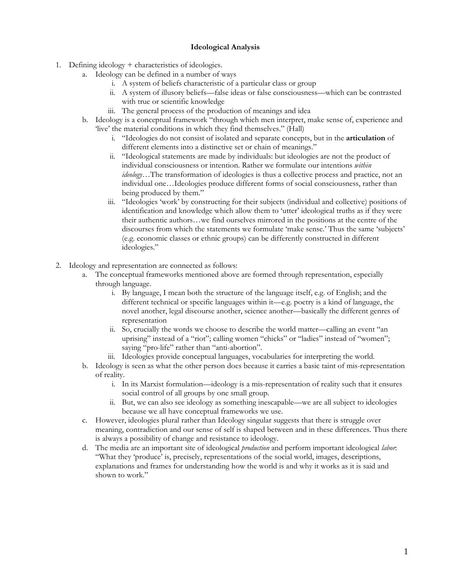## **Ideological Analysis**

- 1. Defining ideology + characteristics of ideologies.
	- a. Ideology can be defined in a number of ways
		- i. A system of beliefs characteristic of a particular class or group
		- ii. A system of illusory beliefs—false ideas or false consciousness—which can be contrasted with true or scientific knowledge
		- iii. The general process of the production of meanings and idea
	- b. Ideology is a conceptual framework "through which men interpret, make sense of, experience and 'live' the material conditions in which they find themselves." (Hall)
		- i. "Ideologies do not consist of isolated and separate concepts, but in the **articulation** of different elements into a distinctive set or chain of meanings."
		- ii. "Ideological statements are made by individuals: but ideologies are not the product of individual consciousness or intention. Rather we formulate our intentions *within ideology*…The transformation of ideologies is thus a collective process and practice, not an individual one…Ideologies produce different forms of social consciousness, rather than being produced by them."
		- iii. "Ideologies 'work' by constructing for their subjects (individual and collective) positions of identification and knowledge which allow them to 'utter' ideological truths as if they were their authentic authors…we find ourselves mirrored in the positions at the centre of the discourses from which the statements we formulate 'make sense.' Thus the same 'subjects' (e.g. economic classes or ethnic groups) can be differently constructed in different ideologies."
- 2. Ideology and representation are connected as follows:
	- a. The conceptual frameworks mentioned above are formed through representation, especially through language.
		- i. By language, I mean both the structure of the language itself, e.g. of English; and the different technical or specific languages within it—e.g. poetry is a kind of language, the novel another, legal discourse another, science another—basically the different genres of representation
		- ii. So, crucially the words we choose to describe the world matter—calling an event "an uprising" instead of a "riot"; calling women "chicks" or "ladies" instead of "women"; saying "pro-life" rather than "anti-abortion".
		- iii. Ideologies provide conceptual languages, vocabularies for interpreting the world.
	- b. Ideology is seen as what the other person does because it carries a basic taint of mis-representation of reality.
		- i. In its Marxist formulation—ideology is a mis-representation of reality such that it ensures social control of all groups by one small group.
		- ii. But, we can also see ideology as something inescapable—we are all subject to ideologies because we all have conceptual frameworks we use.
	- c. However, ideologies plural rather than Ideology singular suggests that there is struggle over meaning, contradiction and our sense of self is shaped between and in these differences. Thus there is always a possibility of change and resistance to ideology.
	- d. The media are an important site of ideological *production* and perform important ideological *labor*: "What they 'produce' is, precisely, representations of the social world, images, descriptions, explanations and frames for understanding how the world is and why it works as it is said and shown to work."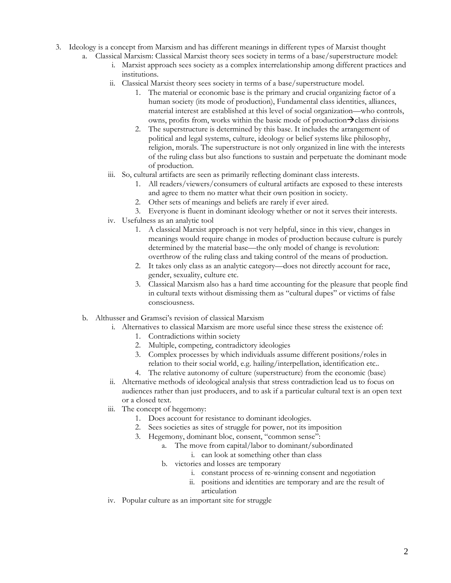- 3. Ideology is a concept from Marxism and has different meanings in different types of Marxist thought
	- a. Classical Marxism: Classical Marxist theory sees society in terms of a base/superstructure model:
		- i. Marxist approach sees society as a complex interrelationship among different practices and institutions.
		- ii. Classical Marxist theory sees society in terms of a base/superstructure model.
			- 1. The material or economic base is the primary and crucial organizing factor of a human society (its mode of production), Fundamental class identities, alliances, material interest are established at this level of social organization—who controls, owns, profits from, works within the basic mode of production $\rightarrow$ class divisions
			- 2. The superstructure is determined by this base. It includes the arrangement of political and legal systems, culture, ideology or belief systems like philosophy, religion, morals. The superstructure is not only organized in line with the interests of the ruling class but also functions to sustain and perpetuate the dominant mode of production.
		- iii. So, cultural artifacts are seen as primarily reflecting dominant class interests.
			- 1. All readers/viewers/consumers of cultural artifacts are exposed to these interests and agree to them no matter what their own position in society.
			- 2. Other sets of meanings and beliefs are rarely if ever aired.
			- 3. Everyone is fluent in dominant ideology whether or not it serves their interests.
		- iv. Usefulness as an analytic tool
			- 1. A classical Marxist approach is not very helpful, since in this view, changes in meanings would require change in modes of production because culture is purely determined by the material base—the only model of change is revolution: overthrow of the ruling class and taking control of the means of production.
			- 2. It takes only class as an analytic category—does not directly account for race, gender, sexuality, culture etc.
			- 3. Classical Marxism also has a hard time accounting for the pleasure that people find in cultural texts without dismissing them as "cultural dupes" or victims of false consciousness.
	- b. Althusser and Gramsci's revision of classical Marxism
		- i. Alternatives to classical Marxism are more useful since these stress the existence of:
			- 1. Contradictions within society
			- 2. Multiple, competing, contradictory ideologies
			- 3. Complex processes by which individuals assume different positions/roles in relation to their social world, e.g. hailing/interpellation, identification etc..
			- 4. The relative autonomy of culture (superstructure) from the economic (base)
		- ii. Alternative methods of ideological analysis that stress contradiction lead us to focus on audiences rather than just producers, and to ask if a particular cultural text is an open text or a closed text.
		- iii. The concept of hegemony:
			- 1. Does account for resistance to dominant ideologies.
			- 2. Sees societies as sites of struggle for power, not its imposition
			- 3. Hegemony, dominant bloc, consent, "common sense":
				- a. The move from capital/labor to dominant/subordinated
					- i. can look at something other than class
				- b. victories and losses are temporary
					- i. constant process of re-winning consent and negotiation
					- ii. positions and identities are temporary and are the result of articulation
		- iv. Popular culture as an important site for struggle